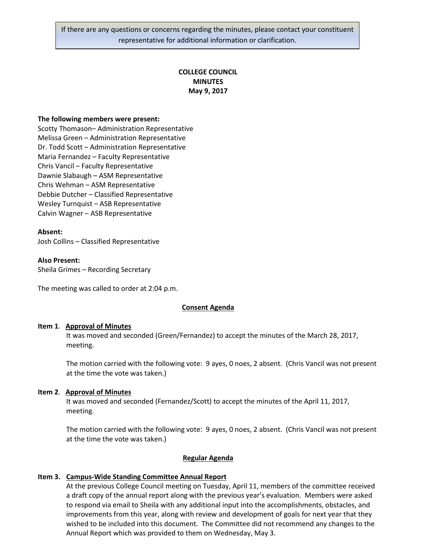If there are any questions or concerns regarding the minutes, please contact your constituent representative for additional information or clarification.

# **COLLEGE COUNCIL MINUTES May 9, 2017**

#### **The following members were present:**

Scotty Thomason– Administration Representative Melissa Green – Administration Representative Dr. Todd Scott – Administration Representative Maria Fernandez – Faculty Representative Chris Vancil – Faculty Representative Dawnie Slabaugh – ASM Representative Chris Wehman – ASM Representative Debbie Dutcher – Classified Representative Wesley Turnquist – ASB Representative Calvin Wagner – ASB Representative

#### **Absent:**

Josh Collins – Classified Representative

#### **Also Present:**

Sheila Grimes – Recording Secretary

The meeting was called to order at 2:04 p.m.

#### **Consent Agenda**

#### **Item 1**. **Approval of Minutes**

It was moved and seconded (Green/Fernandez) to accept the minutes of the March 28, 2017, meeting.

The motion carried with the following vote: 9 ayes, 0 noes, 2 absent. (Chris Vancil was not present at the time the vote was taken.)

#### **Item 2**. **Approval of Minutes**

It was moved and seconded (Fernandez/Scott) to accept the minutes of the April 11, 2017, meeting.

The motion carried with the following vote: 9 ayes, 0 noes, 2 absent. (Chris Vancil was not present at the time the vote was taken.)

#### **Regular Agenda**

## **Item 3. Campus-Wide Standing Committee Annual Report**

At the previous College Council meeting on Tuesday, April 11, members of the committee received a draft copy of the annual report along with the previous year's evaluation. Members were asked to respond via email to Sheila with any additional input into the accomplishments, obstacles, and improvements from this year, along with review and development of goals for next year that they wished to be included into this document. The Committee did not recommend any changes to the Annual Report which was provided to them on Wednesday, May 3.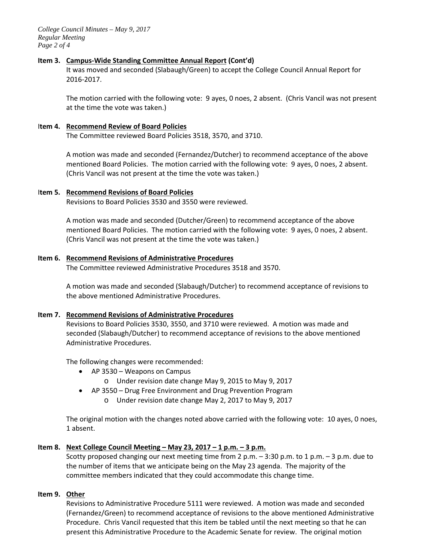*College Council Minutes – May 9, 2017 Regular Meeting Page 2 of 4*

### **Item 3. Campus-Wide Standing Committee Annual Report (Cont'd)**

It was moved and seconded (Slabaugh/Green) to accept the College Council Annual Report for 2016-2017.

The motion carried with the following vote: 9 ayes, 0 noes, 2 absent. (Chris Vancil was not present at the time the vote was taken.)

### I**tem 4. Recommend Review of Board Policies**

The Committee reviewed Board Policies 3518, 3570, and 3710.

A motion was made and seconded (Fernandez/Dutcher) to recommend acceptance of the above mentioned Board Policies. The motion carried with the following vote: 9 ayes, 0 noes, 2 absent. (Chris Vancil was not present at the time the vote was taken.)

### I**tem 5. Recommend Revisions of Board Policies**

Revisions to Board Policies 3530 and 3550 were reviewed.

A motion was made and seconded (Dutcher/Green) to recommend acceptance of the above mentioned Board Policies. The motion carried with the following vote: 9 ayes, 0 noes, 2 absent. (Chris Vancil was not present at the time the vote was taken.)

### **Item 6. Recommend Revisions of Administrative Procedures**

The Committee reviewed Administrative Procedures 3518 and 3570.

A motion was made and seconded (Slabaugh/Dutcher) to recommend acceptance of revisions to the above mentioned Administrative Procedures.

#### **Item 7. Recommend Revisions of Administrative Procedures**

Revisions to Board Policies 3530, 3550, and 3710 were reviewed. A motion was made and seconded (Slabaugh/Dutcher) to recommend acceptance of revisions to the above mentioned Administrative Procedures.

The following changes were recommended:

- AP 3530 Weapons on Campus
	- o Under revision date change May 9, 2015 to May 9, 2017
- AP 3550 Drug Free Environment and Drug Prevention Program
	- o Under revision date change May 2, 2017 to May 9, 2017

The original motion with the changes noted above carried with the following vote: 10 ayes, 0 noes, 1 absent.

## **Item 8. Next College Council Meeting – May 23, 2017 – 1 p.m. – 3 p.m.**

Scotty proposed changing our next meeting time from 2 p.m. – 3:30 p.m. to 1 p.m. – 3 p.m. due to the number of items that we anticipate being on the May 23 agenda. The majority of the committee members indicated that they could accommodate this change time.

## **Item 9. Other**

Revisions to Administrative Procedure 5111 were reviewed. A motion was made and seconded (Fernandez/Green) to recommend acceptance of revisions to the above mentioned Administrative Procedure. Chris Vancil requested that this item be tabled until the next meeting so that he can present this Administrative Procedure to the Academic Senate for review. The original motion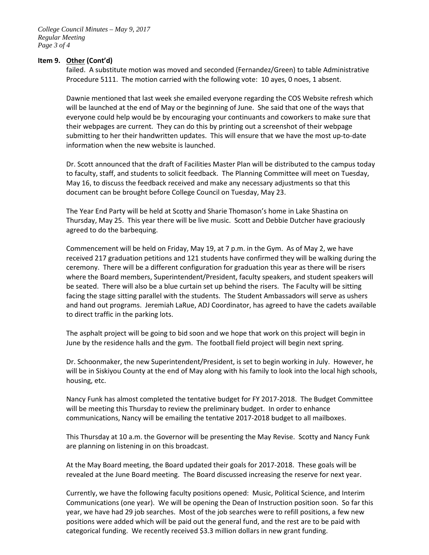## **Item 9. Other (Cont'd)**

failed. A substitute motion was moved and seconded (Fernandez/Green) to table Administrative Procedure 5111. The motion carried with the following vote: 10 ayes, 0 noes, 1 absent.

Dawnie mentioned that last week she emailed everyone regarding the COS Website refresh which will be launched at the end of May or the beginning of June. She said that one of the ways that everyone could help would be by encouraging your continuants and coworkers to make sure that their webpages are current. They can do this by printing out a screenshot of their webpage submitting to her their handwritten updates. This will ensure that we have the most up-to-date information when the new website is launched.

Dr. Scott announced that the draft of Facilities Master Plan will be distributed to the campus today to faculty, staff, and students to solicit feedback. The Planning Committee will meet on Tuesday, May 16, to discuss the feedback received and make any necessary adjustments so that this document can be brought before College Council on Tuesday, May 23.

The Year End Party will be held at Scotty and Sharie Thomason's home in Lake Shastina on Thursday, May 25. This year there will be live music. Scott and Debbie Dutcher have graciously agreed to do the barbequing.

Commencement will be held on Friday, May 19, at 7 p.m. in the Gym. As of May 2, we have received 217 graduation petitions and 121 students have confirmed they will be walking during the ceremony. There will be a different configuration for graduation this year as there will be risers where the Board members, Superintendent/President, faculty speakers, and student speakers will be seated. There will also be a blue curtain set up behind the risers. The Faculty will be sitting facing the stage sitting parallel with the students. The Student Ambassadors will serve as ushers and hand out programs. Jeremiah LaRue, ADJ Coordinator, has agreed to have the cadets available to direct traffic in the parking lots.

The asphalt project will be going to bid soon and we hope that work on this project will begin in June by the residence halls and the gym. The football field project will begin next spring.

Dr. Schoonmaker, the new Superintendent/President, is set to begin working in July. However, he will be in Siskiyou County at the end of May along with his family to look into the local high schools, housing, etc.

Nancy Funk has almost completed the tentative budget for FY 2017-2018. The Budget Committee will be meeting this Thursday to review the preliminary budget. In order to enhance communications, Nancy will be emailing the tentative 2017-2018 budget to all mailboxes.

This Thursday at 10 a.m. the Governor will be presenting the May Revise. Scotty and Nancy Funk are planning on listening in on this broadcast.

At the May Board meeting, the Board updated their goals for 2017-2018. These goals will be revealed at the June Board meeting. The Board discussed increasing the reserve for next year.

Currently, we have the following faculty positions opened: Music, Political Science, and Interim Communications (one year). We will be opening the Dean of Instruction position soon. So far this year, we have had 29 job searches. Most of the job searches were to refill positions, a few new positions were added which will be paid out the general fund, and the rest are to be paid with categorical funding. We recently received \$3.3 million dollars in new grant funding.